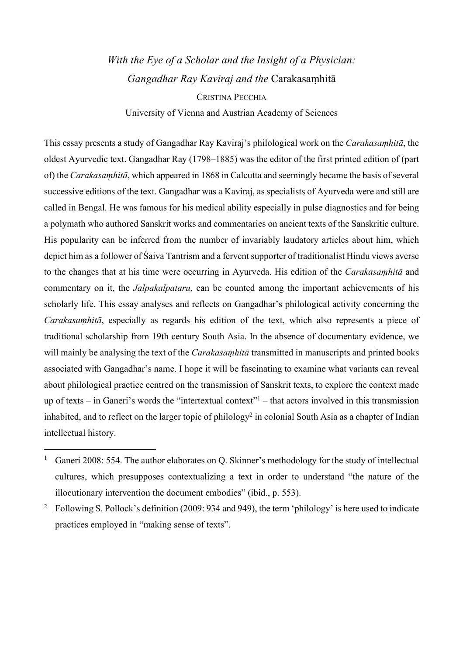# *With the Eye of a Scholar and the Insight of a Physician: Gangadhar Ray Kaviraj and the* Carakasaṃhitā CRISTINA PECCHIA University of Vienna and Austrian Academy of Sciences

This essay presents a study of Gangadhar Ray Kaviraj's philological work on the *Carakasaṃhitā*, the oldest Ayurvedic text. Gangadhar Ray (1798–1885) was the editor of the first printed edition of (part of) the *Carakasaṃhitā*, which appeared in 1868 in Calcutta and seemingly became the basis of several successive editions of the text. Gangadhar was a Kaviraj, as specialists of Ayurveda were and still are called in Bengal. He was famous for his medical ability especially in pulse diagnostics and for being a polymath who authored Sanskrit works and commentaries on ancient texts of the Sanskritic culture. His popularity can be inferred from the number of invariably laudatory articles about him, which depict him as a follower of Śaiva Tantrism and a fervent supporter of traditionalist Hindu views averse to the changes that at his time were occurring in Ayurveda. His edition of the *Carakasaṃhitā* and commentary on it, the *Jalpakalpataru*, can be counted among the important achievements of his scholarly life. This essay analyses and reflects on Gangadhar's philological activity concerning the *Carakasaṃhitā*, especially as regards his edition of the text, which also represents a piece of traditional scholarship from 19th century South Asia. In the absence of documentary evidence, we will mainly be analysing the text of the *Carakasaṃhitā* transmitted in manuscripts and printed books associated with Gangadhar's name. I hope it will be fascinating to examine what variants can reveal about philological practice centred on the transmission of Sanskrit texts, to explore the context made up of texts – in Ganeri's words the "intertextual context"1 – that actors involved in this transmission inhabited, and to reflect on the larger topic of philology<sup>2</sup> in colonial South Asia as a chapter of Indian intellectual history.

<sup>&</sup>lt;sup>1</sup> Ganeri 2008: 554. The author elaborates on Q. Skinner's methodology for the study of intellectual cultures, which presupposes contextualizing a text in order to understand "the nature of the illocutionary intervention the document embodies" (ibid., p. 553).

<sup>&</sup>lt;sup>2</sup> Following S. Pollock's definition (2009: 934 and 949), the term 'philology' is here used to indicate practices employed in "making sense of texts".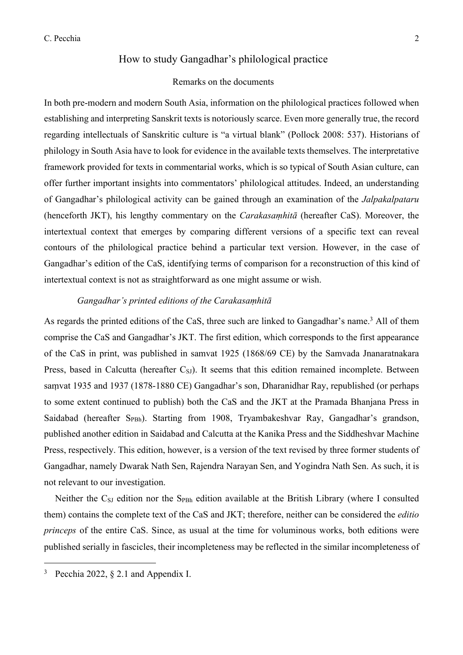# How to study Gangadhar's philological practice

## Remarks on the documents

In both pre-modern and modern South Asia, information on the philological practices followed when establishing and interpreting Sanskrit texts is notoriously scarce. Even more generally true, the record regarding intellectuals of Sanskritic culture is "a virtual blank" (Pollock 2008: 537). Historians of philology in South Asia have to look for evidence in the available texts themselves. The interpretative framework provided for texts in commentarial works, which is so typical of South Asian culture, can offer further important insights into commentators' philological attitudes. Indeed, an understanding of Gangadhar's philological activity can be gained through an examination of the *Jalpakalpataru* (henceforth JKT), his lengthy commentary on the *Carakasaṃhitā* (hereafter CaS). Moreover, the intertextual context that emerges by comparing different versions of a specific text can reveal contours of the philological practice behind a particular text version. However, in the case of Gangadhar's edition of the CaS, identifying terms of comparison for a reconstruction of this kind of intertextual context is not as straightforward as one might assume or wish.

## *Gangadhar's printed editions of the Carakasaṃhitā*

As regards the printed editions of the CaS, three such are linked to Gangadhar's name.<sup>3</sup> All of them comprise the CaS and Gangadhar's JKT. The first edition, which corresponds to the first appearance of the CaS in print, was published in samvat 1925 (1868/69 CE) by the Samvada Jnanaratnakara Press, based in Calcutta (hereafter  $C_{SI}$ ). It seems that this edition remained incomplete. Between saṃvat 1935 and 1937 (1878-1880 CE) Gangadhar's son, Dharanidhar Ray, republished (or perhaps to some extent continued to publish) both the CaS and the JKT at the Pramada Bhanjana Press in Saidabad (hereafter SPBh). Starting from 1908, Tryambakeshvar Ray, Gangadhar's grandson, published another edition in Saidabad and Calcutta at the Kanika Press and the Siddheshvar Machine Press, respectively. This edition, however, is a version of the text revised by three former students of Gangadhar, namely Dwarak Nath Sen, Rajendra Narayan Sen, and Yogindra Nath Sen. As such, it is not relevant to our investigation.

Neither the C<sub>SJ</sub> edition nor the S<sub>PBh</sub> edition available at the British Library (where I consulted them) contains the complete text of the CaS and JKT; therefore, neither can be considered the *editio princeps* of the entire CaS. Since, as usual at the time for voluminous works, both editions were published serially in fascicles, their incompleteness may be reflected in the similar incompleteness of

<sup>&</sup>lt;sup>3</sup> Pecchia 2022,  $\S$  2.1 and Appendix I.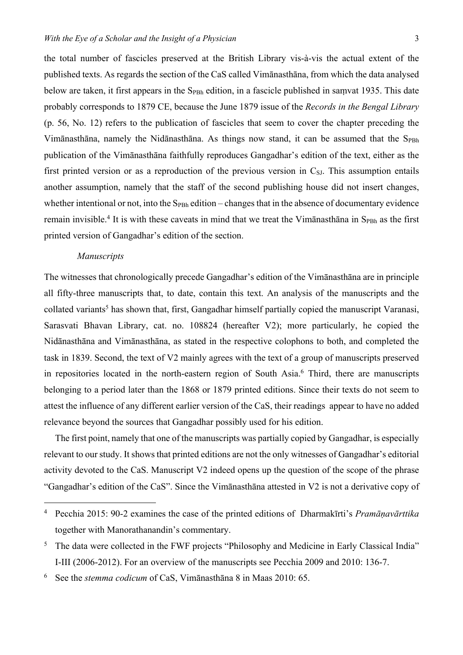the total number of fascicles preserved at the British Library vis-à-vis the actual extent of the published texts. As regards the section of the CaS called Vimānasthāna, from which the data analysed below are taken, it first appears in the  $S_{P Bh}$  edition, in a fascicle published in samvat 1935. This date probably corresponds to 1879 CE, because the June 1879 issue of the *Records in the Bengal Library* (p. 56, No. 12) refers to the publication of fascicles that seem to cover the chapter preceding the Vimānasthāna, namely the Nidānasthāna. As things now stand, it can be assumed that the SPBh publication of the Vimānasthāna faithfully reproduces Gangadhar's edition of the text, either as the first printed version or as a reproduction of the previous version in  $C_{\rm SI}$ . This assumption entails another assumption, namely that the staff of the second publishing house did not insert changes, whether intentional or not, into the  $S_{P Bh}$  edition – changes that in the absence of documentary evidence remain invisible.<sup>4</sup> It is with these caveats in mind that we treat the Vimānasthāna in  $S_{PBh}$  as the first printed version of Gangadhar's edition of the section.

#### *Manuscripts*

The witnesses that chronologically precede Gangadhar's edition of the Vimānasthāna are in principle all fifty-three manuscripts that, to date, contain this text. An analysis of the manuscripts and the collated variants<sup>5</sup> has shown that, first, Gangadhar himself partially copied the manuscript Varanasi, Sarasvati Bhavan Library, cat. no. 108824 (hereafter V2); more particularly, he copied the Nidānasthāna and Vimānasthāna, as stated in the respective colophons to both, and completed the task in 1839. Second, the text of V2 mainly agrees with the text of a group of manuscripts preserved in repositories located in the north-eastern region of South Asia.<sup>6</sup> Third, there are manuscripts belonging to a period later than the 1868 or 1879 printed editions. Since their texts do not seem to attest the influence of any different earlier version of the CaS, their readings appear to have no added relevance beyond the sources that Gangadhar possibly used for his edition.

The first point, namely that one of the manuscripts was partially copied by Gangadhar, is especially relevant to our study. It shows that printed editions are not the only witnesses of Gangadhar's editorial activity devoted to the CaS. Manuscript V2 indeed opens up the question of the scope of the phrase "Gangadhar's edition of the CaS". Since the Vimānasthāna attested in V2 is not a derivative copy of

<sup>4</sup> Pecchia 2015: 90-2 examines the case of the printed editions of Dharmakīrti's *Pramāṇavārttika* together with Manorathanandin's commentary.

<sup>&</sup>lt;sup>5</sup> The data were collected in the FWF projects "Philosophy and Medicine in Early Classical India" I-III (2006-2012). For an overview of the manuscripts see Pecchia 2009 and 2010: 136-7.

<sup>6</sup> See the *stemma codicum* of CaS, Vimānasthāna 8 in Maas 2010: 65.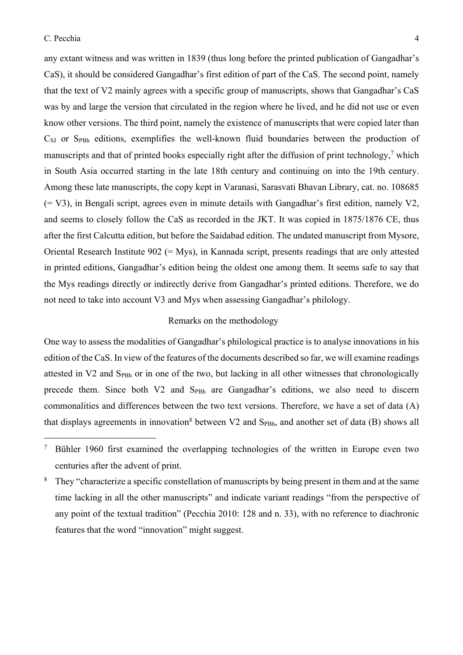any extant witness and was written in 1839 (thus long before the printed publication of Gangadhar's CaS), it should be considered Gangadhar's first edition of part of the CaS. The second point, namely that the text of V2 mainly agrees with a specific group of manuscripts, shows that Gangadhar's CaS was by and large the version that circulated in the region where he lived, and he did not use or even know other versions. The third point, namely the existence of manuscripts that were copied later than CSJ or SPBh editions, exemplifies the well-known fluid boundaries between the production of manuscripts and that of printed books especially right after the diffusion of print technology,<sup>7</sup> which in South Asia occurred starting in the late 18th century and continuing on into the 19th century. Among these late manuscripts, the copy kept in Varanasi, Sarasvati Bhavan Library, cat. no. 108685 (= V3), in Bengali script, agrees even in minute details with Gangadhar's first edition, namely V2, and seems to closely follow the CaS as recorded in the JKT. It was copied in 1875/1876 CE, thus after the first Calcutta edition, but before the Saidabad edition. The undated manuscript from Mysore, Oriental Research Institute 902 (= Mys), in Kannada script, presents readings that are only attested in printed editions, Gangadhar's edition being the oldest one among them. It seems safe to say that the Mys readings directly or indirectly derive from Gangadhar's printed editions. Therefore, we do not need to take into account V3 and Mys when assessing Gangadhar's philology.

## Remarks on the methodology

One way to assess the modalities of Gangadhar's philological practice is to analyse innovations in his edition of the CaS. In view of the features of the documents described so far, we will examine readings attested in V2 and S<sub>PBh</sub> or in one of the two, but lacking in all other witnesses that chronologically precede them. Since both V2 and S<sub>PBh</sub> are Gangadhar's editions, we also need to discern commonalities and differences between the two text versions. Therefore, we have a set of data (A) that displays agreements in innovation<sup>8</sup> between  $V2$  and  $S_{P Bh}$ , and another set of data (B) shows all

<sup>&</sup>lt;sup>7</sup> Bühler 1960 first examined the overlapping technologies of the written in Europe even two centuries after the advent of print.

<sup>&</sup>lt;sup>8</sup> They "characterize a specific constellation of manuscripts by being present in them and at the same time lacking in all the other manuscripts" and indicate variant readings "from the perspective of any point of the textual tradition" (Pecchia 2010: 128 and n. 33), with no reference to diachronic features that the word "innovation" might suggest.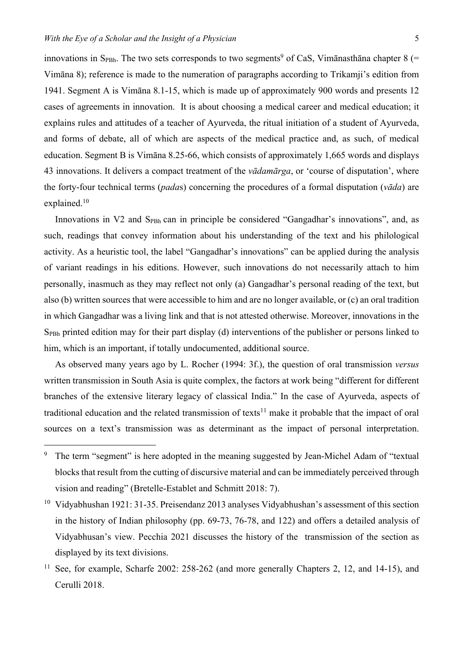innovations in S<sub>PBh</sub>. The two sets corresponds to two segments<sup>9</sup> of CaS, Vimānasthāna chapter 8 (= Vimāna 8); reference is made to the numeration of paragraphs according to Trikamji's edition from 1941. Segment A is Vimāna 8.1-15, which is made up of approximately 900 words and presents 12 cases of agreements in innovation. It is about choosing a medical career and medical education; it explains rules and attitudes of a teacher of Ayurveda, the ritual initiation of a student of Ayurveda, and forms of debate, all of which are aspects of the medical practice and, as such, of medical education. Segment B is Vimāna 8.25-66, which consists of approximately 1,665 words and displays 43 innovations. It delivers a compact treatment of the *vādamārga*, or 'course of disputation', where the forty-four technical terms (*pada*s) concerning the procedures of a formal disputation (*vāda*) are explained.10

Innovations in  $V_2$  and  $S_{P}_B$  can in principle be considered "Gangadhar's innovations", and, as such, readings that convey information about his understanding of the text and his philological activity. As a heuristic tool, the label "Gangadhar's innovations" can be applied during the analysis of variant readings in his editions. However, such innovations do not necessarily attach to him personally, inasmuch as they may reflect not only (a) Gangadhar's personal reading of the text, but also (b) written sources that were accessible to him and are no longer available, or (c) an oral tradition in which Gangadhar was a living link and that is not attested otherwise. Moreover, innovations in the SPBh printed edition may for their part display (d) interventions of the publisher or persons linked to him, which is an important, if totally undocumented, additional source.

As observed many years ago by L. Rocher (1994: 3f.), the question of oral transmission *versus* written transmission in South Asia is quite complex, the factors at work being "different for different branches of the extensive literary legacy of classical India." In the case of Ayurveda, aspects of traditional education and the related transmission of texts<sup>11</sup> make it probable that the impact of oral sources on a text's transmission was as determinant as the impact of personal interpretation.

<sup>&</sup>lt;sup>9</sup> The term "segment" is here adopted in the meaning suggested by Jean-Michel Adam of "textual" blocks that result from the cutting of discursive material and can be immediately perceived through vision and reading" (Bretelle-Establet and Schmitt 2018: 7).

<sup>&</sup>lt;sup>10</sup> Vidyabhushan 1921: 31-35. Preisendanz 2013 analyses Vidyabhushan's assessment of this section in the history of Indian philosophy (pp. 69-73, 76-78, and 122) and offers a detailed analysis of Vidyabhusan's view. Pecchia 2021 discusses the history of the transmission of the section as displayed by its text divisions.

<sup>&</sup>lt;sup>11</sup> See, for example, Scharfe 2002: 258-262 (and more generally Chapters 2, 12, and 14-15), and Cerulli 2018.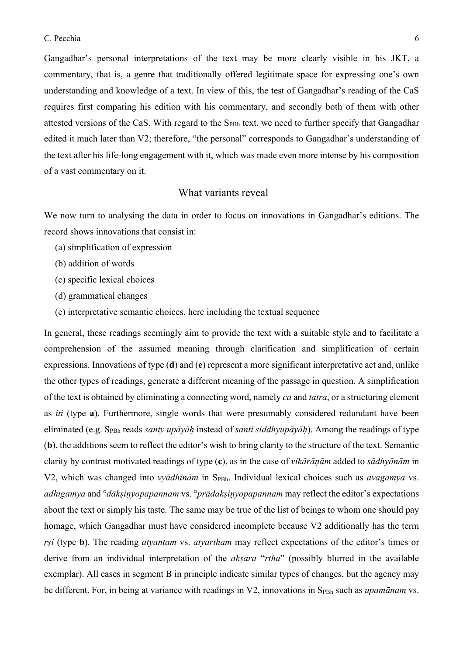Gangadhar's personal interpretations of the text may be more clearly visible in his JKT, a commentary, that is, a genre that traditionally offered legitimate space for expressing one's own understanding and knowledge of a text. In view of this, the test of Gangadhar's reading of the CaS requires first comparing his edition with his commentary, and secondly both of them with other attested versions of the CaS. With regard to the S<sub>PBh</sub> text, we need to further specify that Gangadhar edited it much later than V2; therefore, "the personal" corresponds to Gangadhar's understanding of the text after his life-long engagement with it, which was made even more intense by his composition of a vast commentary on it.

## What variants reveal

We now turn to analysing the data in order to focus on innovations in Gangadhar's editions. The record shows innovations that consist in:

- (a) simplification of expression
- (b) addition of words
- (c) specific lexical choices
- (d) grammatical changes
- (e) interpretative semantic choices, here including the textual sequence

In general, these readings seemingly aim to provide the text with a suitable style and to facilitate a comprehension of the assumed meaning through clarification and simplification of certain expressions. Innovations of type (**d**) and (**e**) represent a more significant interpretative act and, unlike the other types of readings, generate a different meaning of the passage in question. A simplification of the text is obtained by eliminating a connecting word, namely *ca* and *tatra*, or a structuring element as *iti* (type **a**). Furthermore, single words that were presumably considered redundant have been eliminated (e.g. SPBh reads *santy upāyāḥ* instead of *santi siddhyupāyāḥ*). Among the readings of type (**b**), the additions seem to reflect the editor's wish to bring clarity to the structure of the text. Semantic clarity by contrast motivated readings of type (**c**), as in the case of *vikārāṇām* added to *sādhyānām* in V2, which was changed into *vyādhīnām* in S<sub>PBh</sub>. Individual lexical choices such as *avagamya* vs. *adhigamya* and °*dākṣiṇyopapannam* vs. °*prādakṣiṇyopapannam* may reflect the editor's expectations about the text or simply his taste. The same may be true of the list of beings to whom one should pay homage, which Gangadhar must have considered incomplete because V2 additionally has the term *ṛṣi* (type **b**). The reading *atyantam* vs. *atyartham* may reflect expectations of the editor's times or derive from an individual interpretation of the *akṣara* "*rtha*" (possibly blurred in the available exemplar). All cases in segment B in principle indicate similar types of changes, but the agency may be different. For, in being at variance with readings in V2, innovations in S<sub>PBh</sub> such as *upamānam* vs.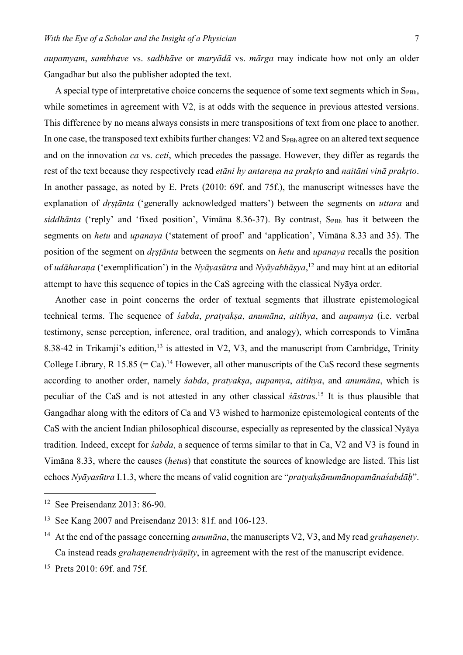*aupamyam*, *sambhave* vs. *sadbhāve* or *maryādā* vs. *mārga* may indicate how not only an older Gangadhar but also the publisher adopted the text.

A special type of interpretative choice concerns the sequence of some text segments which in  $S_{\text{PBh}}$ , while sometimes in agreement with V2, is at odds with the sequence in previous attested versions. This difference by no means always consists in mere transpositions of text from one place to another. In one case, the transposed text exhibits further changes: V2 and S<sub>PBh</sub> agree on an altered text sequence and on the innovation *ca* vs. *ceti*, which precedes the passage. However, they differ as regards the rest of the text because they respectively read *etāni hy antarena na prakrto* and *naitāni vinā prakrto*. In another passage, as noted by E. Prets (2010: 69f. and 75f.), the manuscript witnesses have the explanation of *dṛṣṭānta* ('generally acknowledged matters') between the segments on *uttara* and *siddhānta* ('reply' and 'fixed position', Vimāna 8.36-37). By contrast, S<sub>PBh</sub> has it between the segments on *hetu* and *upanaya* ('statement of proof' and 'application', Vimāna 8.33 and 35). The position of the segment on *dṛṣṭānta* between the segments on *hetu* and *upanaya* recalls the position of *udāharaṇa* ('exemplification') in the *Nyāyasūtra* and *Nyāyabhāṣya*, <sup>12</sup> and may hint at an editorial attempt to have this sequence of topics in the CaS agreeing with the classical Nyāya order.

Another case in point concerns the order of textual segments that illustrate epistemological technical terms. The sequence of *śabda*, *pratyakṣa*, *anumāna*, *aitihya*, and *aupamya* (i.e. verbal testimony, sense perception, inference, oral tradition, and analogy), which corresponds to Vimāna 8.38-42 in Trikamji's edition,<sup>13</sup> is attested in V2, V3, and the manuscript from Cambridge, Trinity College Library, R 15.85 (= Ca).<sup>14</sup> However, all other manuscripts of the CaS record these segments according to another order, namely *śabda*, *pratyakṣa*, *aupamya*, *aitihya*, and *anumāna*, which is peculiar of the CaS and is not attested in any other classical *śāstra*s.15 It is thus plausible that Gangadhar along with the editors of Ca and V3 wished to harmonize epistemological contents of the CaS with the ancient Indian philosophical discourse, especially as represented by the classical Nyāya tradition. Indeed, except for *śabda*, a sequence of terms similar to that in Ca, V2 and V3 is found in Vimāna 8.33, where the causes (*hetu*s) that constitute the sources of knowledge are listed. This list echoes *Nyāyasūtra* I.1.3, where the means of valid cognition are "*pratyakṣānumānopamānaśabdāḥ*".

<sup>15</sup> Prets 2010: 69f. and 75f.

<sup>12</sup> See Preisendanz 2013: 86-90.

<sup>13</sup> See Kang 2007 and Preisendanz 2013: 81f. and 106-123.

<sup>14</sup> At the end of the passage concerning *anumāna*, the manuscripts V2, V3, and My read *grahaṇenety*. Ca instead reads *grahaṇenendriyāṇīty*, in agreement with the rest of the manuscript evidence.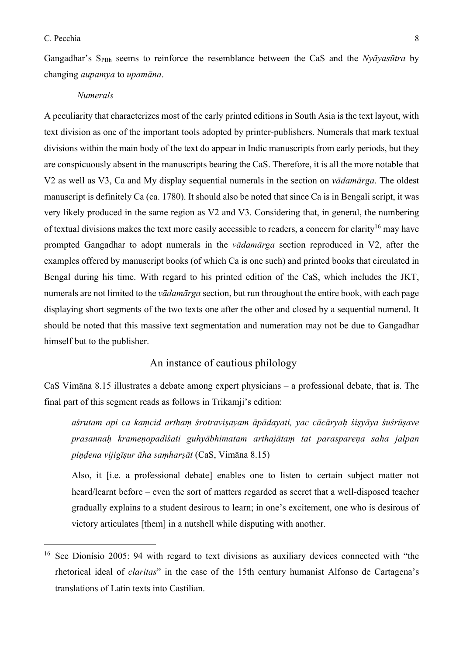Gangadhar's SPBh seems to reinforce the resemblance between the CaS and the *Nyāyasūtra* by changing *aupamya* to *upamāna*.

#### *Numerals*

A peculiarity that characterizes most of the early printed editions in South Asia is the text layout, with text division as one of the important tools adopted by printer-publishers. Numerals that mark textual divisions within the main body of the text do appear in Indic manuscripts from early periods, but they are conspicuously absent in the manuscripts bearing the CaS. Therefore, it is all the more notable that V2 as well as V3, Ca and My display sequential numerals in the section on *vādamārga*. The oldest manuscript is definitely Ca (ca. 1780). It should also be noted that since Ca is in Bengali script, it was very likely produced in the same region as V2 and V3. Considering that, in general, the numbering of textual divisions makes the text more easily accessible to readers, a concern for clarity<sup>16</sup> may have prompted Gangadhar to adopt numerals in the *vādamārga* section reproduced in V2, after the examples offered by manuscript books (of which Ca is one such) and printed books that circulated in Bengal during his time. With regard to his printed edition of the CaS, which includes the JKT, numerals are not limited to the *vādamārga* section, but run throughout the entire book, with each page displaying short segments of the two texts one after the other and closed by a sequential numeral. It should be noted that this massive text segmentation and numeration may not be due to Gangadhar himself but to the publisher.

## An instance of cautious philology

CaS Vimāna 8.15 illustrates a debate among expert physicians – a professional debate, that is. The final part of this segment reads as follows in Trikamji's edition:

*aśrutam api ca kaṃcid arthaṃ śrotraviṣayam āpādayati, yac cācāryaḥ śiṣyāya śuśrūṣave prasannaḥ krameṇopadiśati guhyābhimatam arthajātaṃ tat paraspareṇa saha jalpan piṇḍena vijigīṣur āha saṃharṣāt* (CaS, Vimāna 8.15)

Also, it [i.e. a professional debate] enables one to listen to certain subject matter not heard/learnt before – even the sort of matters regarded as secret that a well-disposed teacher gradually explains to a student desirous to learn; in one's excitement, one who is desirous of victory articulates [them] in a nutshell while disputing with another.

<sup>&</sup>lt;sup>16</sup> See Dionísio 2005: 94 with regard to text divisions as auxiliary devices connected with "the rhetorical ideal of *claritas*" in the case of the 15th century humanist Alfonso de Cartagena's translations of Latin texts into Castilian.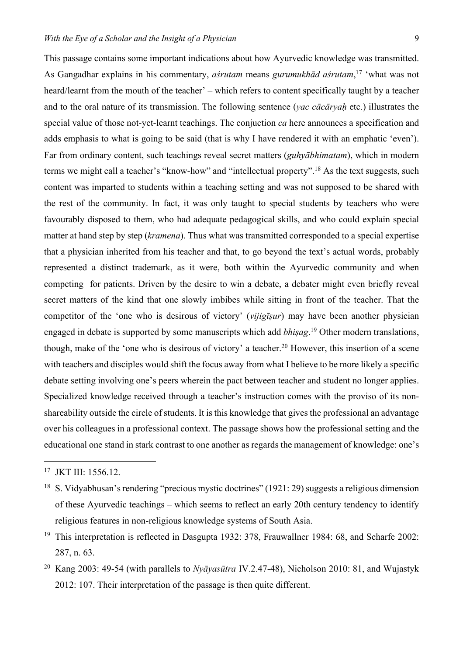This passage contains some important indications about how Ayurvedic knowledge was transmitted. As Gangadhar explains in his commentary, *aśrutam* means *gurumukhād aśrutam*, <sup>17</sup> 'what was not heard/learnt from the mouth of the teacher' – which refers to content specifically taught by a teacher and to the oral nature of its transmission. The following sentence (*yac cācāryaḥ* etc.) illustrates the special value of those not-yet-learnt teachings. The conjuction *ca* here announces a specification and adds emphasis to what is going to be said (that is why I have rendered it with an emphatic 'even'). Far from ordinary content, such teachings reveal secret matters (*guhyābhimatam*), which in modern terms we might call a teacher's "know-how" and "intellectual property".18 As the text suggests, such content was imparted to students within a teaching setting and was not supposed to be shared with the rest of the community. In fact, it was only taught to special students by teachers who were favourably disposed to them, who had adequate pedagogical skills, and who could explain special matter at hand step by step (*kramena*). Thus what was transmitted corresponded to a special expertise that a physician inherited from his teacher and that, to go beyond the text's actual words, probably represented a distinct trademark, as it were, both within the Ayurvedic community and when competing for patients. Driven by the desire to win a debate, a debater might even briefly reveal secret matters of the kind that one slowly imbibes while sitting in front of the teacher. That the competitor of the 'one who is desirous of victory' (*vijigīṣur*) may have been another physician engaged in debate is supported by some manuscripts which add *bhiṣag*. <sup>19</sup> Other modern translations, though, make of the 'one who is desirous of victory' a teacher.<sup>20</sup> However, this insertion of a scene with teachers and disciples would shift the focus away from what I believe to be more likely a specific debate setting involving one's peers wherein the pact between teacher and student no longer applies. Specialized knowledge received through a teacher's instruction comes with the proviso of its nonshareability outside the circle of students. It is this knowledge that gives the professional an advantage over his colleagues in a professional context. The passage shows how the professional setting and the educational one stand in stark contrast to one another as regards the management of knowledge: one's

<sup>&</sup>lt;sup>17</sup> JKT III: 1556.12.

<sup>&</sup>lt;sup>18</sup> S. Vidyabhusan's rendering "precious mystic doctrines" (1921: 29) suggests a religious dimension of these Ayurvedic teachings – which seems to reflect an early 20th century tendency to identify religious features in non-religious knowledge systems of South Asia.

<sup>&</sup>lt;sup>19</sup> This interpretation is reflected in Dasgupta 1932: 378, Frauwallner 1984: 68, and Scharfe 2002: 287, n. 63.

<sup>20</sup> Kang 2003: 49-54 (with parallels to *Nyāyasūtra* IV.2.47-48), Nicholson 2010: 81, and Wujastyk 2012: 107. Their interpretation of the passage is then quite different.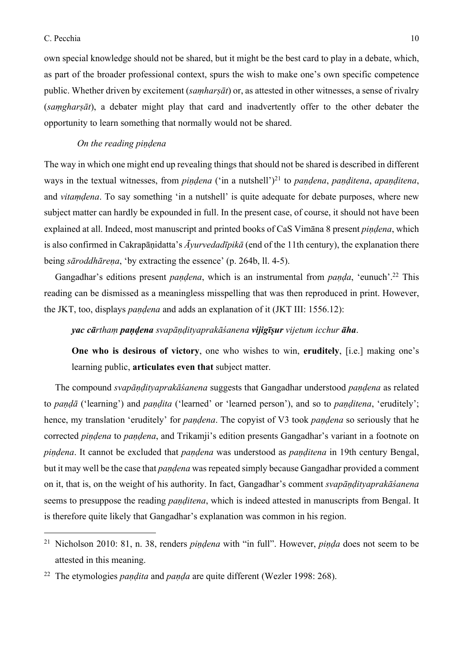#### C. Pecchia 10

own special knowledge should not be shared, but it might be the best card to play in a debate, which, as part of the broader professional context, spurs the wish to make one's own specific competence public. Whether driven by excitement (*saṃharṣāt*) or, as attested in other witnesses, a sense of rivalry (*saṃgharṣāt*), a debater might play that card and inadvertently offer to the other debater the opportunity to learn something that normally would not be shared.

## *On the reading piṇḍena*

The way in which one might end up revealing things that should not be shared is described in different ways in the textual witnesses, from *pindena* ('in a nutshell')<sup>21</sup> to *pandena*, *panditena*, *apanditena*, and *vitaṃḍena*. To say something 'in a nutshell' is quite adequate for debate purposes, where new subject matter can hardly be expounded in full. In the present case, of course, it should not have been explained at all. Indeed, most manuscript and printed books of CaS Vimāna 8 present *piṇḍena*, which is also confirmed in Cakrapāṇidatta's *Āyurvedadīpikā* (end of the 11th century), the explanation there being *sāroddhārena*, 'by extracting the essence' (p. 264b, ll. 4-5).

Gangadhar's editions present *paṇḍena*, which is an instrumental from *paṇḍa*, 'eunuch'.22 This reading can be dismissed as a meaningless misspelling that was then reproduced in print. However, the JKT, too, displays *paṇḍena* and adds an explanation of it (JKT III: 1556.12):

*yac cārthaṃ paṇḍena svapāṇḍityaprakāśanena vijigīṣur vijetum icchur āha*.

**One who is desirous of victory**, one who wishes to win, **eruditely**, [i.e.] making one's learning public, **articulates even that** subject matter.

The compound *svapāṇḍityaprakāśanena* suggests that Gangadhar understood *paṇḍena* as related to *paṇḍā* ('learning') and *paṇḍita* ('learned' or 'learned person'), and so to *paṇḍitena*, 'eruditely'; hence, my translation 'eruditely' for *paṇḍena*. The copyist of V3 took *paṇḍena* so seriously that he corrected *piṇḍena* to *paṇḍena*, and Trikamji's edition presents Gangadhar's variant in a footnote on *piṇḍena*. It cannot be excluded that *paṇḍena* was understood as *paṇḍitena* in 19th century Bengal, but it may well be the case that *paṇḍena* was repeated simply because Gangadhar provided a comment on it, that is, on the weight of his authority. In fact, Gangadhar's comment *svapāṇḍityaprakāśanena* seems to presuppose the reading *panditena*, which is indeed attested in manuscripts from Bengal. It is therefore quite likely that Gangadhar's explanation was common in his region.

<sup>21</sup> Nicholson 2010: 81, n. 38, renders *piṇḍena* with "in full". However, *piṇḍa* does not seem to be attested in this meaning.

<sup>22</sup> The etymologies *paṇḍita* and *paṇḍa* are quite different (Wezler 1998: 268).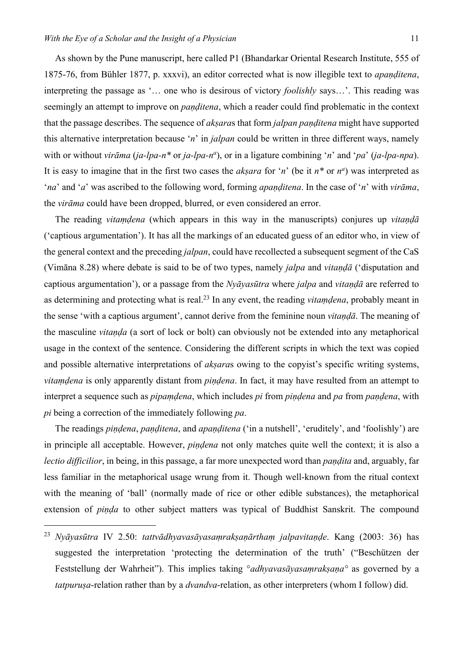As shown by the Pune manuscript, here called P1 (Bhandarkar Oriental Research Institute, 555 of 1875-76, from Bühler 1877, p. xxxvi), an editor corrected what is now illegible text to *apaṇḍitena*, interpreting the passage as '… one who is desirous of victory *foolishly* says…'. This reading was seemingly an attempt to improve on *paṇḍitena*, which a reader could find problematic in the context that the passage describes. The sequence of *akṣara*s that form *jalpan paṇḍitena* might have supported this alternative interpretation because '*n*' in *jalpan* could be written in three different ways, namely with or without *virāma* (*ja-lpa-n*<sup>\*</sup> or *ja-lpa-n<sup>a</sup>*), or in a ligature combining '*n*' and '*pa*' (*ja-lpa-npa*). It is easy to imagine that in the first two cases the *akṣara* for '*n*' (be it *n\** or *na* ) was interpreted as '*na*' and '*a*' was ascribed to the following word, forming *apaṇḍitena*. In the case of '*n*' with *virāma*, the *virāma* could have been dropped, blurred, or even considered an error.

The reading *vitaṃḍena* (which appears in this way in the manuscripts) conjures up *vitaṇḍā* ('captious argumentation'). It has all the markings of an educated guess of an editor who, in view of the general context and the preceding *jalpan*, could have recollected a subsequent segment of the CaS (Vimāna 8.28) where debate is said to be of two types, namely *jalpa* and *vitaṇḍā* ('disputation and captious argumentation'), or a passage from the *Nyāyasūtra* where *jalpa* and *vitaṇḍā* are referred to as determining and protecting what is real.23 In any event, the reading *vitaṃḍena*, probably meant in the sense 'with a captious argument', cannot derive from the feminine noun *vitaṇḍā*. The meaning of the masculine *vitaṇḍa* (a sort of lock or bolt) can obviously not be extended into any metaphorical usage in the context of the sentence. Considering the different scripts in which the text was copied and possible alternative interpretations of *akṣara*s owing to the copyist's specific writing systems, *vitaṃḍena* is only apparently distant from *piṇḍena*. In fact, it may have resulted from an attempt to interpret a sequence such as *pipaṃḍena*, which includes *pi* from *piṇḍena* and *pa* from *paṇḍena*, with *pi* being a correction of the immediately following *pa*.

The readings *piṇḍena*, *paṇḍitena*, and *apaṇḍitena* ('in a nutshell', 'eruditely', and 'foolishly') are in principle all acceptable. However, *piṇḍena* not only matches quite well the context; it is also a *lectio difficilior*, in being, in this passage, a far more unexpected word than *paṇḍita* and, arguably, far less familiar in the metaphorical usage wrung from it. Though well-known from the ritual context with the meaning of 'ball' (normally made of rice or other edible substances), the metaphorical extension of *piṇḍa* to other subject matters was typical of Buddhist Sanskrit. The compound

<sup>23</sup> *Nyāyasūtra* IV 2.50: *tattvādhyavasāyasaṃrakṣaṇārthaṃ jalpavitaṇḍe*. Kang (2003: 36) has suggested the interpretation 'protecting the determination of the truth' ("Beschützen der Feststellung der Wahrheit"). This implies taking °*adhyavasāyasaṃrakṣaṇa°* as governed by a *tatpuruṣa*-relation rather than by a *dvandva*-relation, as other interpreters (whom I follow) did.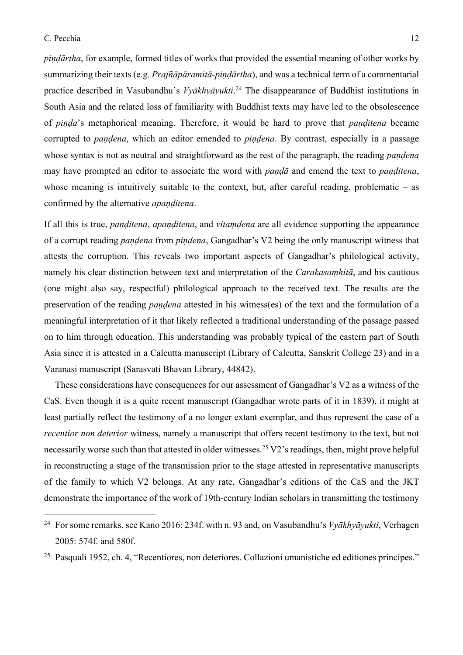*piṇḍārtha*, for example, formed titles of works that provided the essential meaning of other works by summarizing their texts (e.g. *Prajñāpāramitā*-*piṇḍārtha*), and was a technical term of a commentarial practice described in Vasubandhu's *Vyākhyāyukti*. <sup>24</sup> The disappearance of Buddhist institutions in South Asia and the related loss of familiarity with Buddhist texts may have led to the obsolescence of *piṇḍa*'s metaphorical meaning. Therefore, it would be hard to prove that *paṇḍitena* became corrupted to *paṇḍena*, which an editor emended to *piṇḍena*. By contrast, especially in a passage whose syntax is not as neutral and straightforward as the rest of the paragraph, the reading *pandena* may have prompted an editor to associate the word with *paṇḍā* and emend the text to *paṇḍitena*, whose meaning is intuitively suitable to the context, but, after careful reading, problematic – as confirmed by the alternative *apaṇḍitena*.

If all this is true, *paṇḍitena*, *apaṇḍitena*, and *vitaṃḍena* are all evidence supporting the appearance of a corrupt reading *paṇḍena* from *piṇḍena*, Gangadhar's V2 being the only manuscript witness that attests the corruption. This reveals two important aspects of Gangadhar's philological activity, namely his clear distinction between text and interpretation of the *Carakasaṃhitā*, and his cautious (one might also say, respectful) philological approach to the received text. The results are the preservation of the reading *paṇḍena* attested in his witness(es) of the text and the formulation of a meaningful interpretation of it that likely reflected a traditional understanding of the passage passed on to him through education. This understanding was probably typical of the eastern part of South Asia since it is attested in a Calcutta manuscript (Library of Calcutta, Sanskrit College 23) and in a Varanasi manuscript (Sarasvati Bhavan Library, 44842).

These considerations have consequences for our assessment of Gangadhar's V2 as a witness of the CaS. Even though it is a quite recent manuscript (Gangadhar wrote parts of it in 1839), it might at least partially reflect the testimony of a no longer extant exemplar, and thus represent the case of a *recentior non deterior* witness, namely a manuscript that offers recent testimony to the text, but not necessarily worse such than that attested in older witnesses.<sup>25</sup> V2's readings, then, might prove helpful in reconstructing a stage of the transmission prior to the stage attested in representative manuscripts of the family to which V2 belongs. At any rate, Gangadhar's editions of the CaS and the JKT demonstrate the importance of the work of 19th-century Indian scholars in transmitting the testimony

<sup>24</sup> For some remarks, see Kano 2016: 234f. with n. 93 and, on Vasubandhu's *Vyākhyāyukti*, Verhagen 2005: 574f. and 580f.

<sup>25</sup> Pasquali 1952, ch. 4, "Recentiores, non deteriores. Collazioni umanistiche ed editiones principes."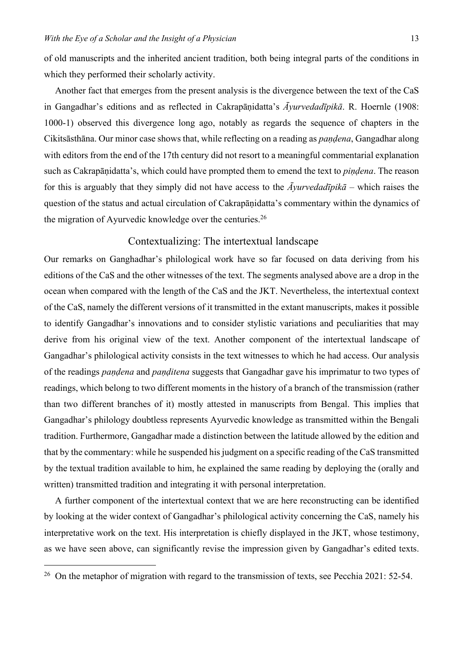of old manuscripts and the inherited ancient tradition, both being integral parts of the conditions in which they performed their scholarly activity.

Another fact that emerges from the present analysis is the divergence between the text of the CaS in Gangadhar's editions and as reflected in Cakrapāṇidatta's *Āyurvedadīpikā*. R. Hoernle (1908: 1000-1) observed this divergence long ago, notably as regards the sequence of chapters in the Cikitsāsthāna. Our minor case shows that, while reflecting on a reading as *paṇḍena*, Gangadhar along with editors from the end of the 17th century did not resort to a meaningful commentarial explanation such as Cakrapāṇidatta's, which could have prompted them to emend the text to *piṇḍena*. The reason for this is arguably that they simply did not have access to the *Āyurvedadīpikā* – which raises the question of the status and actual circulation of Cakrapāṇidatta's commentary within the dynamics of the migration of Ayurvedic knowledge over the centuries.<sup>26</sup>

## Contextualizing: The intertextual landscape

Our remarks on Ganghadhar's philological work have so far focused on data deriving from his editions of the CaS and the other witnesses of the text. The segments analysed above are a drop in the ocean when compared with the length of the CaS and the JKT. Nevertheless, the intertextual context of the CaS, namely the different versions of it transmitted in the extant manuscripts, makes it possible to identify Gangadhar's innovations and to consider stylistic variations and peculiarities that may derive from his original view of the text. Another component of the intertextual landscape of Gangadhar's philological activity consists in the text witnesses to which he had access. Our analysis of the readings *paṇḍena* and *paṇḍitena* suggests that Gangadhar gave his imprimatur to two types of readings, which belong to two different moments in the history of a branch of the transmission (rather than two different branches of it) mostly attested in manuscripts from Bengal. This implies that Gangadhar's philology doubtless represents Ayurvedic knowledge as transmitted within the Bengali tradition. Furthermore, Gangadhar made a distinction between the latitude allowed by the edition and that by the commentary: while he suspended his judgment on a specific reading of the CaS transmitted by the textual tradition available to him, he explained the same reading by deploying the (orally and written) transmitted tradition and integrating it with personal interpretation.

A further component of the intertextual context that we are here reconstructing can be identified by looking at the wider context of Gangadhar's philological activity concerning the CaS, namely his interpretative work on the text. His interpretation is chiefly displayed in the JKT, whose testimony, as we have seen above, can significantly revise the impression given by Gangadhar's edited texts.

<sup>&</sup>lt;sup>26</sup> On the metaphor of migration with regard to the transmission of texts, see Pecchia 2021: 52-54.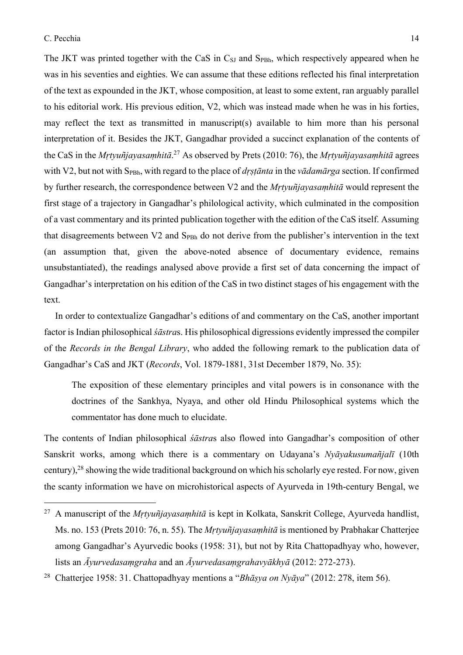The JKT was printed together with the CaS in  $C_{SI}$  and  $S_{P}_B$ , which respectively appeared when he was in his seventies and eighties. We can assume that these editions reflected his final interpretation of the text as expounded in the JKT, whose composition, at least to some extent, ran arguably parallel to his editorial work. His previous edition, V2, which was instead made when he was in his forties, may reflect the text as transmitted in manuscript(s) available to him more than his personal interpretation of it. Besides the JKT, Gangadhar provided a succinct explanation of the contents of the CaS in the *Mṛtyuñjayasaṃhitā*. <sup>27</sup> As observed by Prets (2010: 76), the *Mṛtyuñjayasaṃhitā* agrees with V2, but not with S<sub>PBh</sub>, with regard to the place of *drṣṭānta* in the *vādamārga* section. If confirmed by further research, the correspondence between V2 and the *Mṛtyuñjayasaṃhitā* would represent the first stage of a trajectory in Gangadhar's philological activity, which culminated in the composition of a vast commentary and its printed publication together with the edition of the CaS itself. Assuming that disagreements between V2 and S<sub>PBh</sub> do not derive from the publisher's intervention in the text (an assumption that, given the above-noted absence of documentary evidence, remains unsubstantiated), the readings analysed above provide a first set of data concerning the impact of Gangadhar's interpretation on his edition of the CaS in two distinct stages of his engagement with the text.

In order to contextualize Gangadhar's editions of and commentary on the CaS, another important factor is Indian philosophical *śāstra*s. His philosophical digressions evidently impressed the compiler of the *Records in the Bengal Library*, who added the following remark to the publication data of Gangadhar's CaS and JKT (*Records*, Vol. 1879-1881, 31st December 1879, No. 35):

The exposition of these elementary principles and vital powers is in consonance with the doctrines of the Sankhya, Nyaya, and other old Hindu Philosophical systems which the commentator has done much to elucidate.

The contents of Indian philosophical *śāstra*s also flowed into Gangadhar's composition of other Sanskrit works, among which there is a commentary on Udayana's *Nyāyakusumañjalī* (10th century),28 showing the wide traditional background on which his scholarly eye rested. For now, given the scanty information we have on microhistorical aspects of Ayurveda in 19th-century Bengal, we

<sup>27</sup> A manuscript of the *Mṛtyuñjayasaṃhitā* is kept in Kolkata, Sanskrit College, Ayurveda handlist, Ms. no. 153 (Prets 2010: 76, n. 55). The *Mṛtyuñjayasaṃhitā* is mentioned by Prabhakar Chatterjee among Gangadhar's Ayurvedic books (1958: 31), but not by Rita Chattopadhyay who, however, lists an *Āyurvedasaṃgraha* and an *Āyurvedasaṃgrahavyākhyā* (2012: 272-273).

<sup>28</sup> Chatterjee 1958: 31. Chattopadhyay mentions a "*Bhāṣya on Nyāya*" (2012: 278, item 56).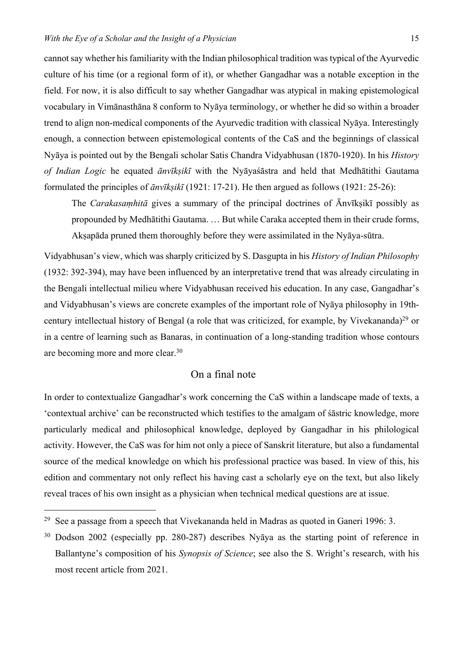cannot say whether his familiarity with the Indian philosophical tradition was typical of the Ayurvedic culture of his time (or a regional form of it), or whether Gangadhar was a notable exception in the field. For now, it is also difficult to say whether Gangadhar was atypical in making epistemological vocabulary in Vimānasthāna 8 conform to Nyāya terminology, or whether he did so within a broader trend to align non-medical components of the Ayurvedic tradition with classical Nyāya. Interestingly enough, a connection between epistemological contents of the CaS and the beginnings of classical Nyāya is pointed out by the Bengali scholar Satis Chandra Vidyabhusan (1870-1920). In his *History of Indian Logic* he equated *ānvīkṣikī* with the Nyāyaśāstra and held that Medhātithi Gautama formulated the principles of *ānvīkṣikī* (1921: 17-21). He then argued as follows (1921: 25-26):

The *Carakasaṃhitā* gives a summary of the principal doctrines of Ānvīkṣikī possibly as propounded by Medhātithi Gautama. … But while Caraka accepted them in their crude forms, Akṣapāda pruned them thoroughly before they were assimilated in the Nyāya-sūtra.

Vidyabhusan's view, which was sharply criticized by S. Dasgupta in his *History of Indian Philosophy* (1932: 392-394), may have been influenced by an interpretative trend that was already circulating in the Bengali intellectual milieu where Vidyabhusan received his education. In any case, Gangadhar's and Vidyabhusan's views are concrete examples of the important role of Nyāya philosophy in 19thcentury intellectual history of Bengal (a role that was criticized, for example, by Vivekananda)<sup>29</sup> or in a centre of learning such as Banaras, in continuation of a long-standing tradition whose contours are becoming more and more clear.30

# On a final note

In order to contextualize Gangadhar's work concerning the CaS within a landscape made of texts, a 'contextual archive' can be reconstructed which testifies to the amalgam of śāstric knowledge, more particularly medical and philosophical knowledge, deployed by Gangadhar in his philological activity. However, the CaS was for him not only a piece of Sanskrit literature, but also a fundamental source of the medical knowledge on which his professional practice was based. In view of this, his edition and commentary not only reflect his having cast a scholarly eye on the text, but also likely reveal traces of his own insight as a physician when technical medical questions are at issue.

<sup>29</sup> See a passage from a speech that Vivekananda held in Madras as quoted in Ganeri 1996: 3.

<sup>&</sup>lt;sup>30</sup> Dodson 2002 (especially pp. 280-287) describes Nyāya as the starting point of reference in Ballantyne's composition of his *Synopsis of Science*; see also the S. Wright's research, with his most recent article from 2021.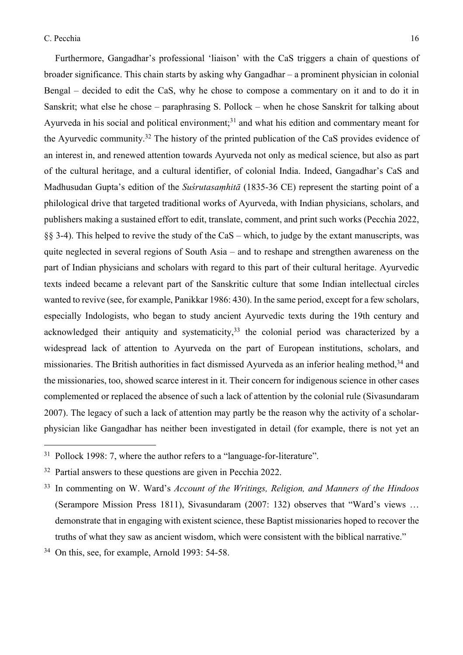Furthermore, Gangadhar's professional 'liaison' with the CaS triggers a chain of questions of broader significance. This chain starts by asking why Gangadhar – a prominent physician in colonial Bengal – decided to edit the CaS, why he chose to compose a commentary on it and to do it in Sanskrit; what else he chose – paraphrasing S. Pollock – when he chose Sanskrit for talking about Ayurveda in his social and political environment;<sup>31</sup> and what his edition and commentary meant for the Ayurvedic community.32 The history of the printed publication of the CaS provides evidence of an interest in, and renewed attention towards Ayurveda not only as medical science, but also as part of the cultural heritage, and a cultural identifier, of colonial India. Indeed, Gangadhar's CaS and Madhusudan Gupta's edition of the *Suśrutasaṃhitā* (1835-36 CE) represent the starting point of a philological drive that targeted traditional works of Ayurveda, with Indian physicians, scholars, and publishers making a sustained effort to edit, translate, comment, and print such works (Pecchia 2022, §§ 3-4). This helped to revive the study of the CaS – which, to judge by the extant manuscripts, was quite neglected in several regions of South Asia – and to reshape and strengthen awareness on the part of Indian physicians and scholars with regard to this part of their cultural heritage. Ayurvedic texts indeed became a relevant part of the Sanskritic culture that some Indian intellectual circles wanted to revive (see, for example, Panikkar 1986: 430). In the same period, except for a few scholars, especially Indologists, who began to study ancient Ayurvedic texts during the 19th century and acknowledged their antiquity and systematicity,  $33$  the colonial period was characterized by a widespread lack of attention to Ayurveda on the part of European institutions, scholars, and missionaries. The British authorities in fact dismissed Ayurveda as an inferior healing method,<sup>34</sup> and the missionaries, too, showed scarce interest in it. Their concern for indigenous science in other cases complemented or replaced the absence of such a lack of attention by the colonial rule (Sivasundaram 2007). The legacy of such a lack of attention may partly be the reason why the activity of a scholarphysician like Gangadhar has neither been investigated in detail (for example, there is not yet an

 $31$  Pollock 1998: 7, where the author refers to a "language-for-literature".

 $32$  Partial answers to these questions are given in Pecchia 2022.

<sup>33</sup> In commenting on W. Ward's *Account of the Writings, Religion, and Manners of the Hindoos* (Serampore Mission Press 1811), Sivasundaram (2007: 132) observes that "Ward's views … demonstrate that in engaging with existent science, these Baptist missionaries hoped to recover the truths of what they saw as ancient wisdom, which were consistent with the biblical narrative."

<sup>&</sup>lt;sup>34</sup> On this, see, for example, Arnold 1993: 54-58.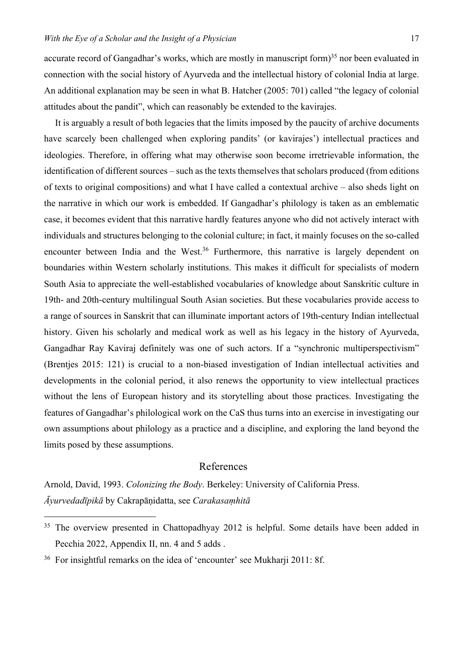accurate record of Gangadhar's works, which are mostly in manuscript form)<sup>35</sup> nor been evaluated in connection with the social history of Ayurveda and the intellectual history of colonial India at large. An additional explanation may be seen in what B. Hatcher (2005: 701) called "the legacy of colonial attitudes about the pandit", which can reasonably be extended to the kavirajes.

It is arguably a result of both legacies that the limits imposed by the paucity of archive documents have scarcely been challenged when exploring pandits' (or kavirajes') intellectual practices and ideologies. Therefore, in offering what may otherwise soon become irretrievable information, the identification of different sources – such as the texts themselves that scholars produced (from editions of texts to original compositions) and what I have called a contextual archive – also sheds light on the narrative in which our work is embedded. If Gangadhar's philology is taken as an emblematic case, it becomes evident that this narrative hardly features anyone who did not actively interact with individuals and structures belonging to the colonial culture; in fact, it mainly focuses on the so-called encounter between India and the West.<sup>36</sup> Furthermore, this narrative is largely dependent on boundaries within Western scholarly institutions. This makes it difficult for specialists of modern South Asia to appreciate the well-established vocabularies of knowledge about Sanskritic culture in 19th- and 20th-century multilingual South Asian societies. But these vocabularies provide access to a range of sources in Sanskrit that can illuminate important actors of 19th-century Indian intellectual history. Given his scholarly and medical work as well as his legacy in the history of Ayurveda, Gangadhar Ray Kaviraj definitely was one of such actors. If a "synchronic multiperspectivism" (Brentjes 2015: 121) is crucial to a non-biased investigation of Indian intellectual activities and developments in the colonial period, it also renews the opportunity to view intellectual practices without the lens of European history and its storytelling about those practices. Investigating the features of Gangadhar's philological work on the CaS thus turns into an exercise in investigating our own assumptions about philology as a practice and a discipline, and exploring the land beyond the limits posed by these assumptions.

## References

Arnold, David, 1993. *Colonizing the Body*. Berkeley: University of California Press. *Āyurvedadīpikā* by Cakrapāṇidatta, see *Carakasaṃhitā*

<sup>&</sup>lt;sup>35</sup> The overview presented in Chattopadhyay 2012 is helpful. Some details have been added in Pecchia 2022, Appendix II, nn. 4 and 5 adds .

<sup>36</sup> For insightful remarks on the idea of 'encounter' see Mukharji 2011: 8f.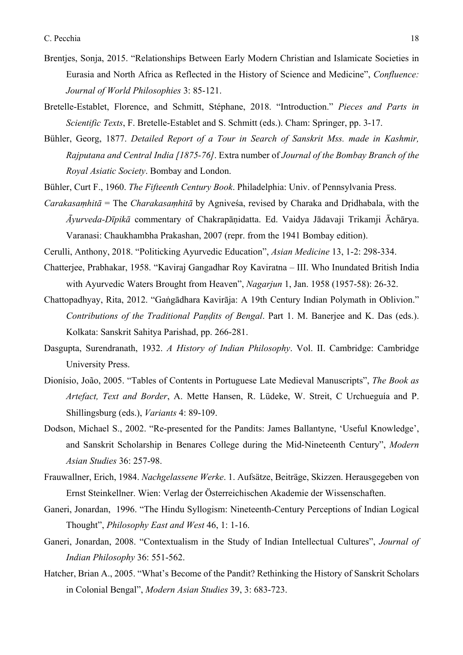- Brentjes, Sonja, 2015. "Relationships Between Early Modern Christian and Islamicate Societies in Eurasia and North Africa as Reflected in the History of Science and Medicine", *Confluence: Journal of World Philosophies* 3: 85-121.
- Bretelle-Establet, Florence, and Schmitt, Stéphane, 2018. "Introduction." *Pieces and Parts in Scientific Texts*, F. Bretelle-Establet and S. Schmitt (eds.). Cham: Springer, pp. 3-17.
- Bühler, Georg, 1877. *Detailed Report of a Tour in Search of Sanskrit Mss. made in Kashmir, Rajputana and Central India [1875-76]*. Extra number of *Journal of the Bombay Branch of the Royal Asiatic Society*. Bombay and London.
- Bühler, Curt F., 1960. *The Fifteenth Century Book*. Philadelphia: Univ. of Pennsylvania Press.
- *Carakasaṃhitā* = The *Charakasaṃhitā* by Agniveśa, revised by Charaka and Dṛidhabala, with the *Āyurveda-Dīpikā* commentary of Chakrapāṇidatta. Ed. Vaidya Jādavaji Trikamji Āchārya. Varanasi: Chaukhambha Prakashan, 2007 (repr. from the 1941 Bombay edition).
- Cerulli, Anthony, 2018. "Politicking Ayurvedic Education", *Asian Medicine* 13, 1-2: 298-334.
- Chatterjee, Prabhakar, 1958. "Kaviraj Gangadhar Roy Kaviratna III. Who Inundated British India with Ayurvedic Waters Brought from Heaven", *Nagarjun* 1, Jan. 1958 (1957-58): 26-32.
- Chattopadhyay, Rita, 2012. "Gaṅgādhara Kavirāja: A 19th Century Indian Polymath in Oblivion." *Contributions of the Traditional Paṇḍits of Bengal*. Part 1. M. Banerjee and K. Das (eds.). Kolkata: Sanskrit Sahitya Parishad, pp. 266-281.
- Dasgupta, Surendranath, 1932. *A History of Indian Philosophy*. Vol. II. Cambridge: Cambridge University Press.
- Dionísio, João, 2005. "Tables of Contents in Portuguese Late Medieval Manuscripts", *The Book as Artefact, Text and Border*, A. Mette Hansen, R. Lüdeke, W. Streit, C Urchueguía and P. Shillingsburg (eds.), *Variants* 4: 89-109.
- Dodson, Michael S., 2002. "Re-presented for the Pandits: James Ballantyne, 'Useful Knowledge', and Sanskrit Scholarship in Benares College during the Mid-Nineteenth Century", *Modern Asian Studies* 36: 257-98.
- Frauwallner, Erich, 1984. *Nachgelassene Werke*. 1. Aufsätze, Beiträge, Skizzen. Herausgegeben von Ernst Steinkellner. Wien: Verlag der Österreichischen Akademie der Wissenschaften.
- Ganeri, Jonardan, 1996. "The Hindu Syllogism: Nineteenth-Century Perceptions of Indian Logical Thought", *Philosophy East and West* 46, 1: 1-16.
- Ganeri, Jonardan, 2008. "Contextualism in the Study of Indian Intellectual Cultures", *Journal of Indian Philosophy* 36: 551-562.
- Hatcher, Brian A., 2005. "What's Become of the Pandit? Rethinking the History of Sanskrit Scholars in Colonial Bengal", *Modern Asian Studies* 39, 3: 683-723.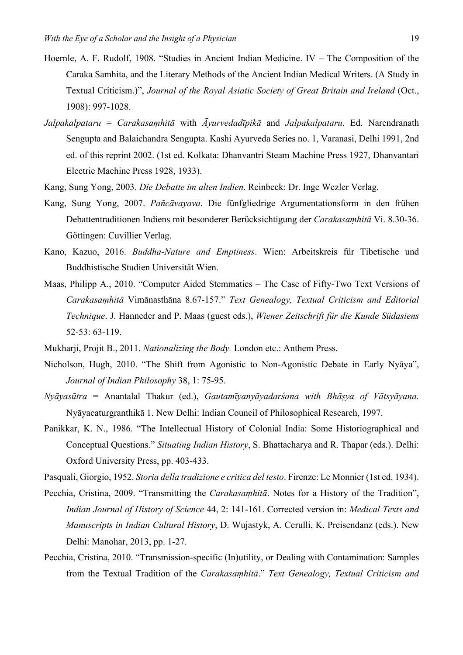- Hoernle, A. F. Rudolf, 1908. "Studies in Ancient Indian Medicine. IV The Composition of the Caraka Samhita, and the Literary Methods of the Ancient Indian Medical Writers. (A Study in Textual Criticism.)", *Journal of the Royal Asiatic Society of Great Britain and Ireland* (Oct., 1908): 997-1028.
- *Jalpakalpataru* = *Carakasaṃhitā* with *Āyurvedadīpikā* and *Jalpakalpataru*. Ed. Narendranath Sengupta and Balaichandra Sengupta. Kashi Ayurveda Series no. 1, Varanasi, Delhi 1991, 2nd ed. of this reprint 2002. (1st ed. Kolkata: Dhanvantri Steam Machine Press 1927, Dhanvantari Electric Machine Press 1928, 1933).
- Kang, Sung Yong, 2003. *Die Debatte im alten Indien*. Reinbeck: Dr. Inge Wezler Verlag.
- Kang, Sung Yong, 2007. *Pañcāvayava*. Die fünfgliedrige Argumentationsform in den frühen Debattentraditionen Indiens mit besonderer Berücksichtigung der *Carakasaṃhitā* Vi. 8.30-36. Göttingen: Cuvillier Verlag.
- Kano, Kazuo, 2016. *Buddha-Nature and Emptiness*. Wien: Arbeitskreis für Tibetische und Buddhistische Studien Universität Wien.
- Maas, Philipp A., 2010. "Computer Aided Stemmatics The Case of Fifty-Two Text Versions of *Carakasaṃhitā* Vimānasthāna 8.67-157." *Text Genealogy, Textual Criticism and Editorial Technique*. J. Hanneder and P. Maas (guest eds.), *Wiener Zeitschrift für die Kunde Südasiens* 52-53: 63-119.
- Mukharji, Projit B., 2011. *Nationalizing the Body.* London etc.: Anthem Press.
- Nicholson, Hugh, 2010. "The Shift from Agonistic to Non-Agonistic Debate in Early Nyāya", *Journal of Indian Philosophy* 38, 1: 75-95.
- *Nyāyasūtra* = Anantalal Thakur (ed.), *Gautamīyanyāyadarśana with Bhāṣya of Vātsyāyana.*  Nyāyacaturgranthikā 1. New Delhi: Indian Council of Philosophical Research, 1997.
- Panikkar, K. N., 1986. "The Intellectual History of Colonial India: Some Historiographical and Conceptual Questions." *Situating Indian History*, S. Bhattacharya and R. Thapar (eds.). Delhi: Oxford University Press, pp. 403-433.
- Pasquali, Giorgio, 1952. *Storia della tradizione e critica del testo*. Firenze: Le Monnier (1st ed. 1934).
- Pecchia, Cristina, 2009. "Transmitting the *Carakasaṃhitā*. Notes for a History of the Tradition", *Indian Journal of History of Science* 44, 2: 141-161. Corrected version in: *Medical Texts and Manuscripts in Indian Cultural History*, D. Wujastyk, A. Cerulli, K. Preisendanz (eds.). New Delhi: Manohar, 2013, pp. 1-27.
- Pecchia, Cristina, 2010. "Transmission-specific (In)utility, or Dealing with Contamination: Samples from the Textual Tradition of the *Carakasaṃhitā*." *Text Genealogy, Textual Criticism and*